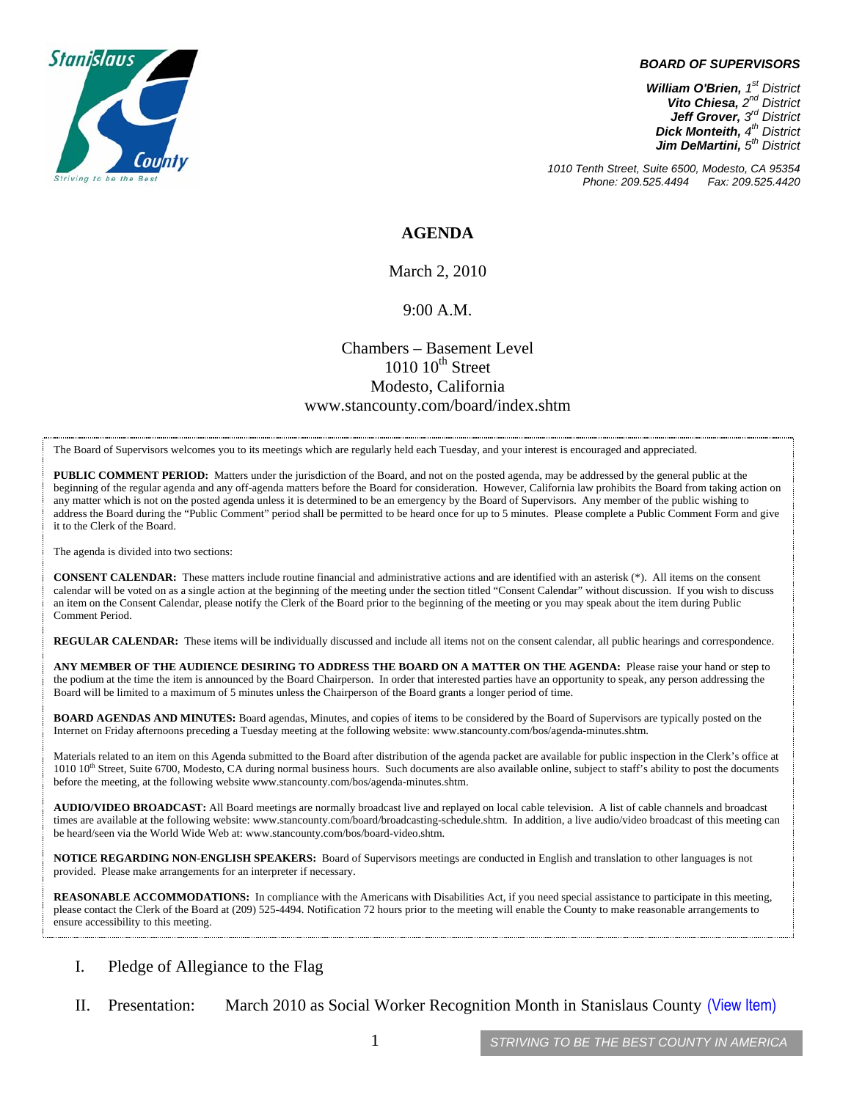

#### *BOARD OF SUPERVISORS*

*William O'Brien, 1st District Vito Chiesa, 2nd District Jeff Grover, 3rd District Dick Monteith, 4th District Jim DeMartini, 5th District*

*1010 Tenth Street, Suite 6500, Modesto, CA 95354 Phone: 209.525.4494* 

#### **AGENDA**

March 2, 2010

#### 9:00 A.M.

### Chambers – Basement Level  $1010$   $10^{th}$  Street Modesto, California www.stancounty.com/board/index.shtm

The Board of Supervisors welcomes you to its meetings which are regularly held each Tuesday, and your interest is encouraged and appreciated.

**PUBLIC COMMENT PERIOD:** Matters under the jurisdiction of the Board, and not on the posted agenda, may be addressed by the general public at the beginning of the regular agenda and any off-agenda matters before the Board for consideration. However, California law prohibits the Board from taking action on any matter which is not on the posted agenda unless it is determined to be an emergency by the Board of Supervisors. Any member of the public wishing to address the Board during the "Public Comment" period shall be permitted to be heard once for up to 5 minutes. Please complete a Public Comment Form and give it to the Clerk of the Board.

The agenda is divided into two sections:

**CONSENT CALENDAR:** These matters include routine financial and administrative actions and are identified with an asterisk (\*). All items on the consent calendar will be voted on as a single action at the beginning of the meeting under the section titled "Consent Calendar" without discussion. If you wish to discuss an item on the Consent Calendar, please notify the Clerk of the Board prior to the beginning of the meeting or you may speak about the item during Public Comment Period.

**REGULAR CALENDAR:** These items will be individually discussed and include all items not on the consent calendar, all public hearings and correspondence.

**ANY MEMBER OF THE AUDIENCE DESIRING TO ADDRESS THE BOARD ON A MATTER ON THE AGENDA:** Please raise your hand or step to the podium at the time the item is announced by the Board Chairperson. In order that interested parties have an opportunity to speak, any person addressing the Board will be limited to a maximum of 5 minutes unless the Chairperson of the Board grants a longer period of time.

**BOARD AGENDAS AND MINUTES:** Board agendas, Minutes, and copies of items to be considered by the Board of Supervisors are typically posted on the Internet on Friday afternoons preceding a Tuesday meeting at the following website: www.stancounty.com/bos/agenda-minutes.shtm.

Materials related to an item on this Agenda submitted to the Board after distribution of the agenda packet are available for public inspection in the Clerk's office at 1010 10<sup>th</sup> Street, Suite 6700, Modesto, CA during normal business hours. Such documents are also available online, subject to staff's ability to post the documents before the meeting, at the following website www.stancounty.com/bos/agenda-minutes.shtm.

**AUDIO/VIDEO BROADCAST:** All Board meetings are normally broadcast live and replayed on local cable television. A list of cable channels and broadcast times are available at the following website: www.stancounty.com/board/broadcasting-schedule.shtm. In addition, a live audio/video broadcast of this meeting can be heard/seen via the World Wide Web at: www.stancounty.com/bos/board-video.shtm.

**NOTICE REGARDING NON-ENGLISH SPEAKERS:** Board of Supervisors meetings are conducted in English and translation to other languages is not provided. Please make arrangements for an interpreter if necessary.

**REASONABLE ACCOMMODATIONS:** In compliance with the Americans with Disabilities Act, if you need special assistance to participate in this meeting, please contact the Clerk of the Board at (209) 525-4494. Notification 72 hours prior to the meeting will enable the County to make reasonable arrangements to ensure accessibility to this meeting.

- I. Pledge of Allegiance to the Flag
- II. Presentation: March 2010 as Social Worker Recognition Month in Stanislaus County (View Item)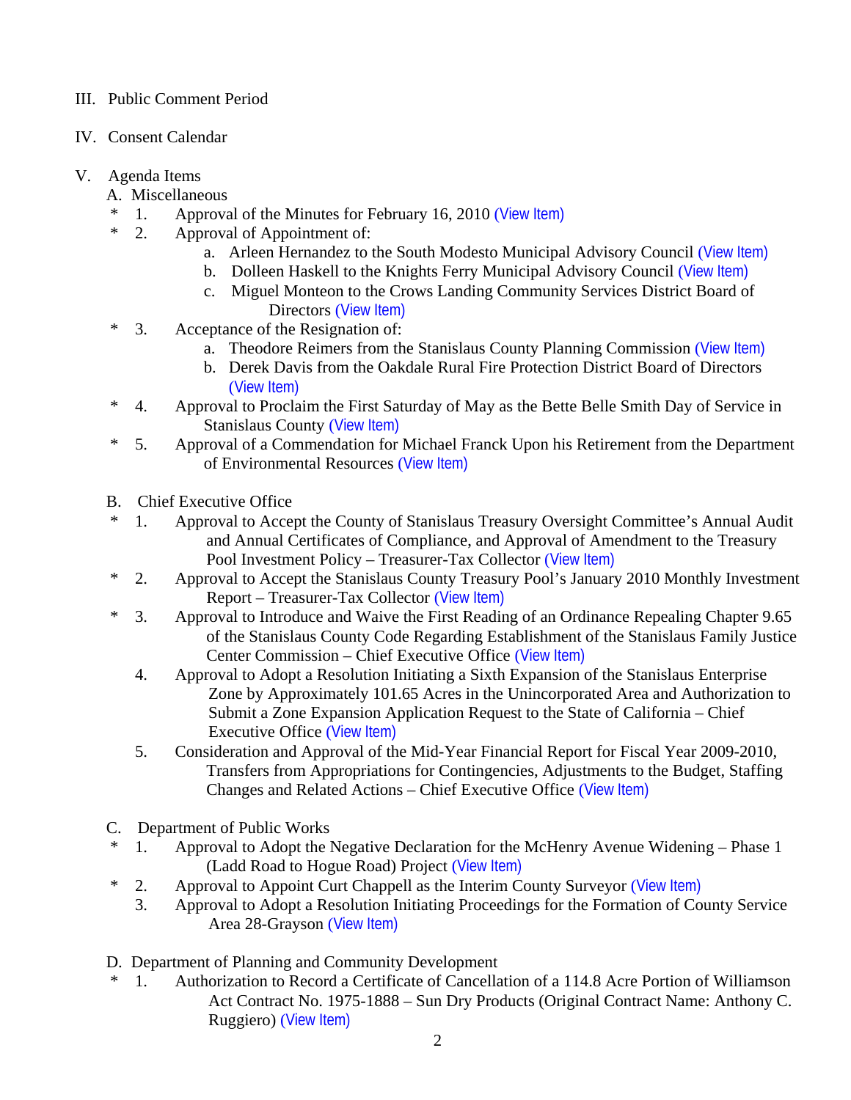# III. Public Comment Period

- IV. Consent Calendar
- V. Agenda Items
	- A. Miscellaneous
	- \* 1. Approval of the Minutes for February 16, 2010 ([View Item\)](http://www.stancounty.com/bos/minutes/2010/min02-16-10.pdf)
	- \* 2. Approval of Appointment of:
		- a. Arleen Hernandez to the South Modesto Municipal Advisory Council ([View Item\)](http://www.stancounty.com/bos/agenda/2010/20100302/A02a.pdf)
		- b. Dolleen Haskell to the Knights Ferry Municipal Advisory Council ([View Item\)](http://www.stancounty.com/bos/agenda/2010/20100302/A02b.pdf)
		- c. Miguel Monteon to the Crows Landing Community Services District Board of Directors ([View Item\)](http://www.stancounty.com/bos/agenda/2010/20100302/A02c.pdf)
	- \* 3. Acceptance of the Resignation of:
		- a. Theodore Reimers from the Stanislaus County Planning Commission ([View Item\)](http://www.stancounty.com/bos/agenda/2010/20100302/A03a.pdf)
		- b. Derek Davis from the Oakdale Rural Fire Protection District Board of Directors ([View Item\)](http://www.stancounty.com/bos/agenda/2010/20100302/A03b.pdf)
	- \* 4. Approval to Proclaim the First Saturday of May as the Bette Belle Smith Day of Service in Stanislaus County ([View Item\)](http://www.stancounty.com/bos/agenda/2010/20100302/A04.pdf)
	- \* 5. Approval of a Commendation for Michael Franck Upon his Retirement from the Department of Environmental Resources ([View Item\)](http://www.stancounty.com/bos/agenda/2010/20100302/A05.pdf)
	- B. Chief Executive Office
	- \* 1. Approval to Accept the County of Stanislaus Treasury Oversight Committee's Annual Audit and Annual Certificates of Compliance, and Approval of Amendment to the Treasury Pool Investment Policy – Treasurer-Tax Collector ([View Item\)](http://www.stancounty.com/bos/agenda/2010/20100302/B01.pdf)
	- \* 2. Approval to Accept the Stanislaus County Treasury Pool's January 2010 Monthly Investment Report – Treasurer-Tax Collector ([View Item\)](http://www.stancounty.com/bos/agenda/2010/20100302/B02.pdf)
	- \* 3. Approval to Introduce and Waive the First Reading of an Ordinance Repealing Chapter 9.65 of the Stanislaus County Code Regarding Establishment of the Stanislaus Family Justice Center Commission – Chief Executive Office ([View Item\)](http://www.stancounty.com/bos/agenda/2010/20100302/B03.pdf)
		- 4. Approval to Adopt a Resolution Initiating a Sixth Expansion of the Stanislaus Enterprise Zone by Approximately 101.65 Acres in the Unincorporated Area and Authorization to Submit a Zone Expansion Application Request to the State of California – Chief Executive Office ([View Item\)](http://www.stancounty.com/bos/agenda/2010/20100302/B04.pdf)
		- 5. Consideration and Approval of the Mid-Year Financial Report for Fiscal Year 2009-2010, Transfers from Appropriations for Contingencies, Adjustments to the Budget, Staffing Changes and Related Actions – Chief Executive Office ([View Item\)](http://www.stancounty.com/bos/agenda/2010/20100302/B05.pdf)
	- C. Department of Public Works
	- \* 1. Approval to Adopt the Negative Declaration for the McHenry Avenue Widening Phase 1 (Ladd Road to Hogue Road) Project ([View Item\)](http://www.stancounty.com/bos/agenda/2010/20100302/C01.pdf)
	- \* 2. Approval to Appoint Curt Chappell as the Interim County Surveyor ([View Item\)](http://www.stancounty.com/bos/agenda/2010/20100302/C02.pdf)
		- 3. Approval to Adopt a Resolution Initiating Proceedings for the Formation of County Service Area 28-Grayson ([View Item\)](http://www.stancounty.com/bos/agenda/2010/20100302/C03.pdf)
	- D. Department of Planning and Community Development
	- \* 1. Authorization to Record a Certificate of Cancellation of a 114.8 Acre Portion of Williamson Act Contract No. 1975-1888 – Sun Dry Products (Original Contract Name: Anthony C. Ruggiero) ([View Item\)](http://www.stancounty.com/bos/agenda/2010/20100302/D01.pdf)